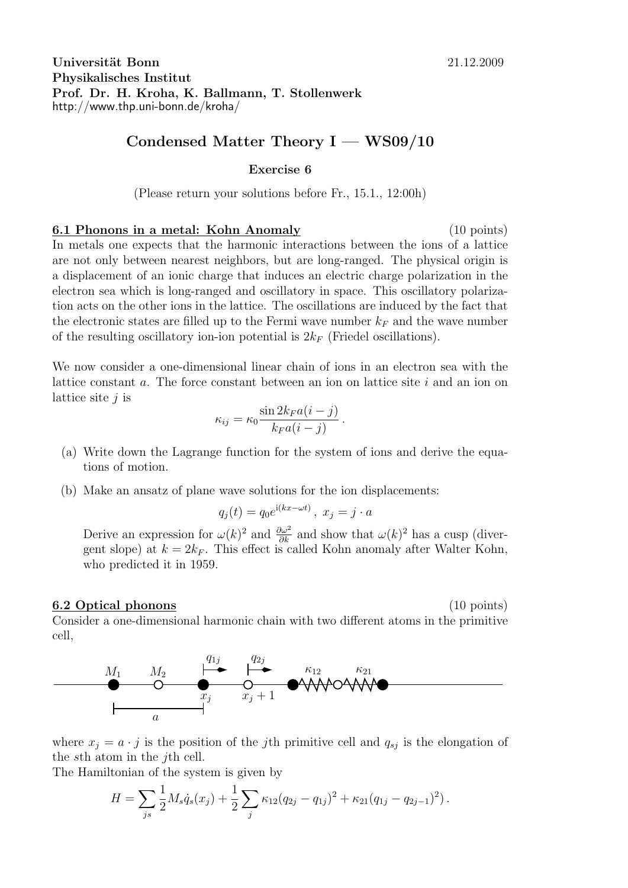## **Condensed Matter Theory I — WS09/10**

## **Exercise 6**

(Please return your solutions before Fr., 15.1., 12:00h)

**6.1 Phonons in a metal: Kohn Anomaly** (10 points) In metals one expects that the harmonic interactions between the ions of a lattice are not only between nearest neighbors, but are long-ranged. The physical origin is a displacement of an ionic charge that induces an electric charge polarization in the electron sea which is long-ranged and oscillatory in space. This oscillatory polarization acts on the other ions in the lattice. The oscillations are induced by the fact that the electronic states are filled up to the Fermi wave number  $k_F$  and the wave number of the resulting oscillatory ion-ion potential is  $2k_F$  (Friedel oscillations).

We now consider a one-dimensional linear chain of ions in an electron sea with the lattice constant *a*. The force constant between an ion on lattice site *i* and an ion on lattice site *j* is

$$
\kappa_{ij} = \kappa_0 \frac{\sin 2k_F a(i-j)}{k_F a(i-j)}.
$$

- (a) Write down the Lagrange function for the system of ions and derive the equations of motion.
- (b) Make an ansatz of plane wave solutions for the ion displacements:

$$
q_j(t) = q_0 e^{i(kx - \omega t)}, \ x_j = j \cdot a
$$

Derive an expression for  $\omega(k)^2$  and  $\frac{\partial \omega^2}{\partial k}$  and show that  $\omega(k)^2$  has a cusp (divergent slope) at  $k = 2k_F$ . This effect is called Kohn anomaly after Walter Kohn, who predicted it in 1959.

## **6.2 Optical phonons** (10 points)

Consider a one-dimensional harmonic chain with two different atoms in the primitive cell,



where  $x_j = a \cdot j$  is the position of the *j*th primitive cell and  $q_{sj}$  is the elongation of the *s*th atom in the *j*th cell.

The Hamiltonian of the system is given by

$$
H = \sum_{js} \frac{1}{2} M_s \dot{q}_s(x_j) + \frac{1}{2} \sum_j \kappa_{12} (q_{2j} - q_{1j})^2 + \kappa_{21} (q_{1j} - q_{2j-1})^2).
$$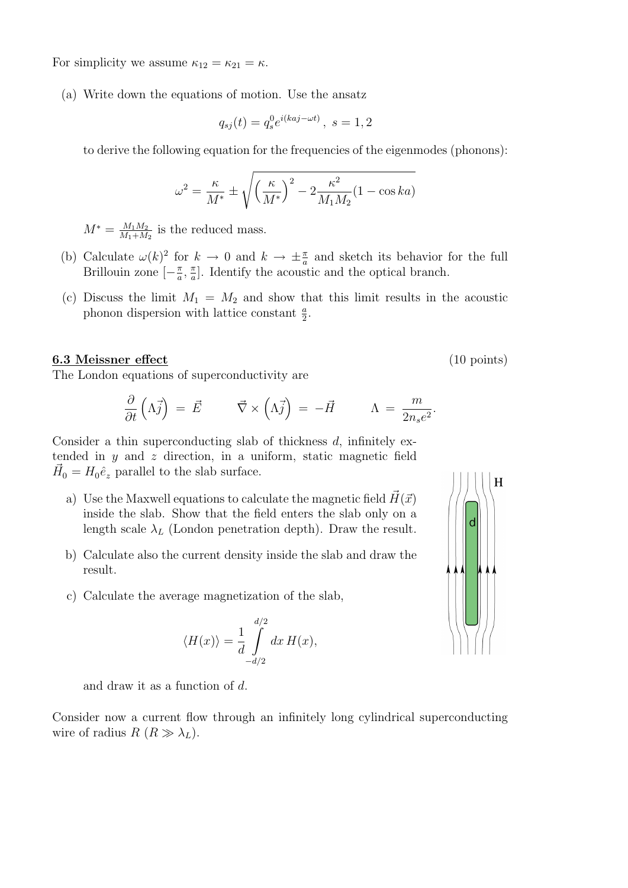For simplicity we assume  $\kappa_{12} = \kappa_{21} = \kappa$ .

(a) Write down the equations of motion. Use the ansatz

$$
q_{sj}(t) = q_s^0 e^{i(kaj - \omega t)}, \ s = 1, 2
$$

to derive the following equation for the frequencies of the eigenmodes (phonons):

$$
\omega^2 = \frac{\kappa}{M^*} \pm \sqrt{\left(\frac{\kappa}{M^*}\right)^2 - 2\frac{\kappa^2}{M_1 M_2} (1 - \cos ka)}
$$

 $M^* = \frac{M_1 M_2}{M_1 + M}$  $\frac{M_1 M_2}{M_1 + M_2}$  is the reduced mass.

- (b) Calculate  $\omega(k)^2$  for  $k \to 0$  and  $k \to \pm \frac{\pi}{a}$  and sketch its behavior for the full Brillouin zone  $\left[-\frac{\pi}{a}\right]$  $\frac{\pi}{a}$ ,  $\frac{\pi}{a}$  $\frac{\pi}{a}$ . Identify the acoustic and the optical branch.
- (c) Discuss the limit  $M_1 = M_2$  and show that this limit results in the acoustic phonon dispersion with lattice constant  $\frac{a}{2}$ .

## **6.3 Meissner effect** (10 points)

The London equations of superconductivity are

$$
\frac{\partial}{\partial t} \left( \Lambda \vec{j} \right) = \vec{E} \qquad \vec{\nabla} \times \left( \Lambda \vec{j} \right) = -\vec{H} \qquad \Lambda = \frac{m}{2n_s e^2}.
$$

Consider a thin superconducting slab of thickness *d*, infinitely extended in *y* and *z* direction, in a uniform, static magnetic field  $\vec{H}_0 = H_0 \hat{e}_z$  parallel to the slab surface.

- a) Use the Maxwell equations to calculate the magnetic field  $H(\vec{x})$ inside the slab. Show that the field enters the slab only on a length scale  $\lambda_L$  (London penetration depth). Draw the result.
- b) Calculate also the current density inside the slab and draw the result.
- c) Calculate the average magnetization of the slab,

$$
\langle H(x) \rangle = \frac{1}{d} \int_{-d/2}^{d/2} dx \, H(x),
$$

and draw it as a function of *d*.

Consider now a current flow through an infinitely long cylindrical superconducting wire of radius  $R(R \gg \lambda_L)$ .